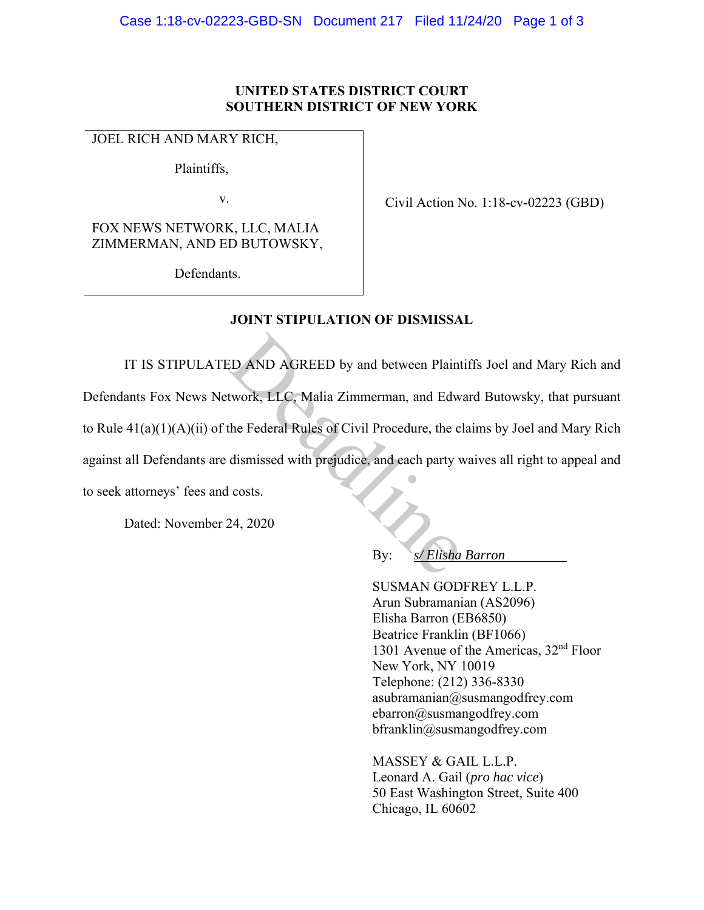## **UNITED STATES DISTRICT COURT SOUTHERN DISTRICT OF NEW YORK**

## JOEL RICH AND MARY RICH,

Plaintiffs,

v.

FOX NEWS NETWORK, LLC, MALIA ZIMMERMAN, AND ED BUTOWSKY,

Defendants.

Civil Action No. 1:18-cv-02223 (GBD)

**JOINT STIPULATION OF DISMISSAL** 

IT IS STIPULATED AND AGREED by and between Plaintiffs Joel and Mary Rich and Defendants Fox News Network, LLC, Malia Zimmerman, and Edward Butowsky, that pursuant to Rule 41(a)(1)(A)(ii) of the Federal Rules of Civil Procedure, the claims by Joel and Mary Rich against all Defendants are dismissed with prejudice, and each party waives all right to appeal and to seek attorneys' fees and costs. ED AND AGREED by and between Plaint<br>twork, LLC, Malia Zimmerman, and Edw<br>the Federal Rules of Civil Procedure, the ci<br>dismissed with prejudice, and each party v<br>l costs.<br>24, 2020<br>By:  $s/Elisha$ 

Dated: November 24, 2020

By: *s/ Elisha Barron* 

 SUSMAN GODFREY L.L.P. Arun Subramanian (AS2096) Elisha Barron (EB6850) Beatrice Franklin (BF1066) 1301 Avenue of the Americas, 32<sup>nd</sup> Floor New York, NY 10019 Telephone: (212) 336-8330 asubramanian@susmangodfrey.com ebarron@susmangodfrey.com bfranklin@susmangodfrey.com

MASSEY & GAIL L.L.P. Leonard A. Gail (*pro hac vice*) 50 East Washington Street, Suite 400 Chicago, IL 60602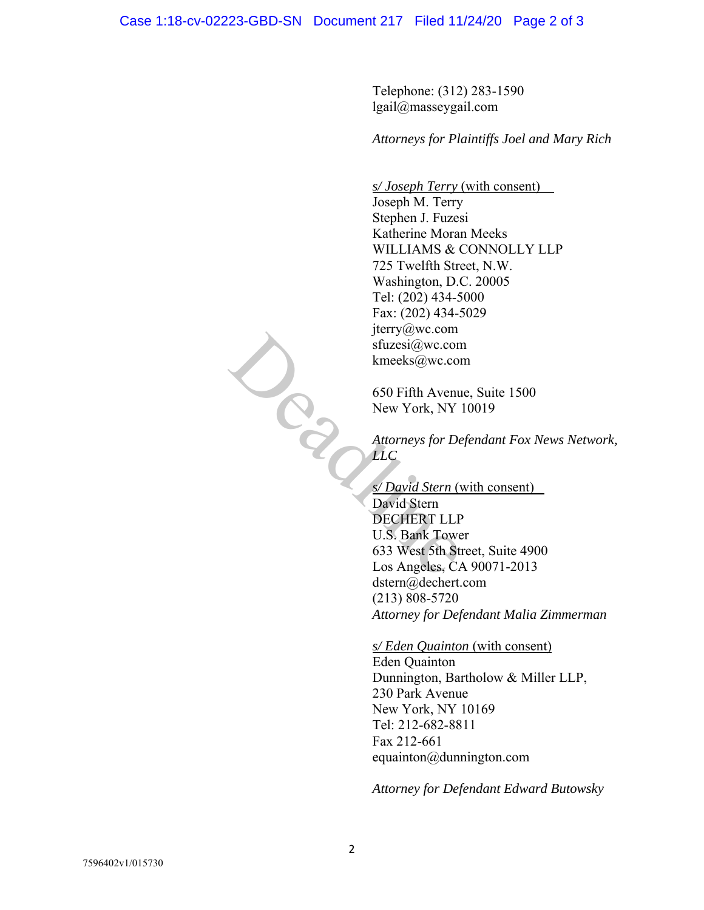Telephone: (312) 283-1590 lgail@masseygail.com

*Attorneys for Plaintiffs Joel and Mary Rich* 

*s/ Joseph Terry* (with consent) Joseph M. Terry Stephen J. Fuzesi Katherine Moran Meeks WILLIAMS & CONNOLLY LLP 725 Twelfth Street, N.W. Washington, D.C. 20005 Tel: (202) 434-5000 Fax: (202) 434-5029 jterry@wc.com sfuzesi@wc.com kmeeks@wc.com Deadline

650 Fifth Avenue, Suite 1500 New York, NY 10019

*Attorneys for Defendant Fox News Network, LLC* 

*s/ David Stern* (with consent)

David Stern DECHERT LLP U.S. Bank Tower 633 West 5th Street, Suite 4900 Los Angeles, CA 90071-2013 dstern@dechert.com (213) 808-5720 *Attorney for Defendant Malia Zimmerman* 

*s/ Eden Quainton* (with consent)

Eden Quainton Dunnington, Bartholow & Miller LLP, 230 Park Avenue New York, NY 10169 Tel: 212-682-8811 Fax 212-661 equainton@dunnington.com

*Attorney for Defendant Edward Butowsky*